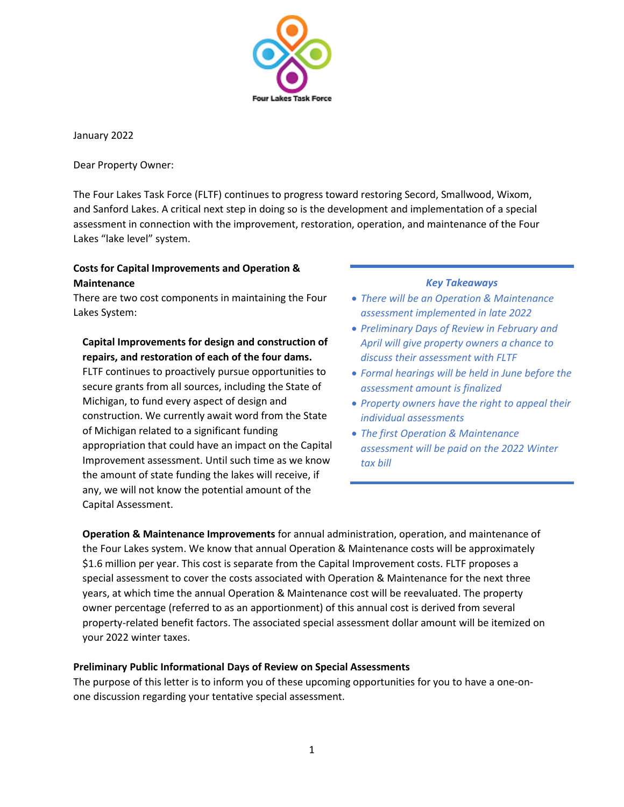

January 2022

Dear Property Owner:

The Four Lakes Task Force (FLTF) continues to progress toward restoring Secord, Smallwood, Wixom, and Sanford Lakes. A critical next step in doing so is the development and implementation of a special assessment in connection with the improvement, restoration, operation, and maintenance of the Four Lakes "lake level" system.

## **Costs for Capital Improvements and Operation & Maintenance**

There are two cost components in maintaining the Four Lakes System:

# **Capital Improvements for design and construction of repairs, and restoration of each of the four dams.**

FLTF continues to proactively pursue opportunities to secure grants from all sources, including the State of Michigan, to fund every aspect of design and construction. We currently await word from the State of Michigan related to a significant funding appropriation that could have an impact on the Capital Improvement assessment. Until such time as we know the amount of state funding the lakes will receive, if any, we will not know the potential amount of the Capital Assessment.

#### *Key Takeaways*

- *There will be an Operation & Maintenance assessment implemented in late 2022*
- *Preliminary Days of Review in February and April will give property owners a chance to discuss their assessment with FLTF*
- *Formal hearings will be held in June before the assessment amount is finalized*
- *Property owners have the right to appeal their individual assessments*
- *The first Operation & Maintenance assessment will be paid on the 2022 Winter tax bill*

**Operation & Maintenance Improvements** for annual administration, operation, and maintenance of the Four Lakes system. We know that annual Operation & Maintenance costs will be approximately \$1.6 million per year. This cost is separate from the Capital Improvement costs. FLTF proposes a special assessment to cover the costs associated with Operation & Maintenance for the next three years, at which time the annual Operation & Maintenance cost will be reevaluated. The property owner percentage (referred to as an apportionment) of this annual cost is derived from several property-related benefit factors. The associated special assessment dollar amount will be itemized on your 2022 winter taxes.

## **Preliminary Public Informational Days of Review on Special Assessments**

The purpose of this letter is to inform you of these upcoming opportunities for you to have a one-onone discussion regarding your tentative special assessment.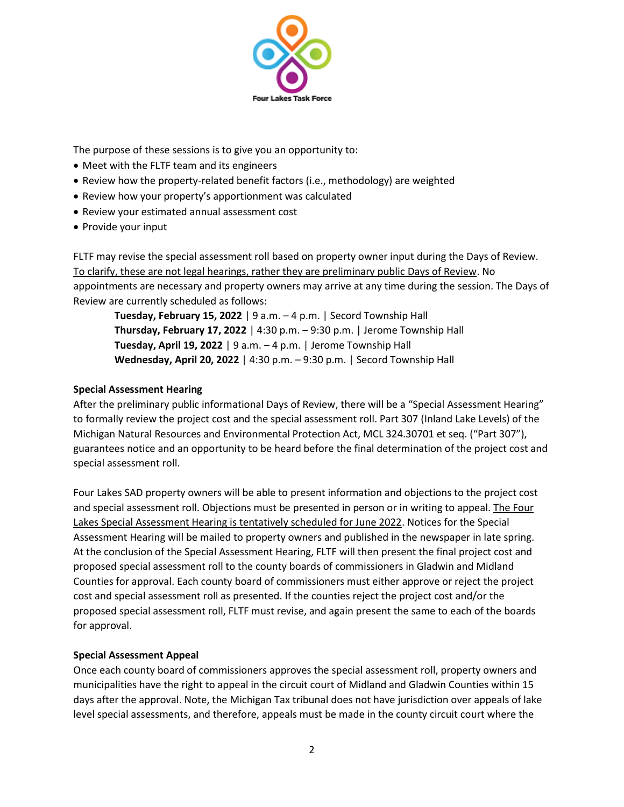

The purpose of these sessions is to give you an opportunity to:

- Meet with the FLTF team and its engineers
- Review how the property-related benefit factors (i.e., methodology) are weighted
- Review how your property's apportionment was calculated
- Review your estimated annual assessment cost
- Provide your input

FLTF may revise the special assessment roll based on property owner input during the Days of Review. To clarify, these are not legal hearings, rather they are preliminary public Days of Review. No appointments are necessary and property owners may arrive at any time during the session. The Days of Review are currently scheduled as follows:

**Tuesday, February 15, 2022** | 9 a.m. – 4 p.m. | Secord Township Hall **Thursday, February 17, 2022** | 4:30 p.m. – 9:30 p.m. | Jerome Township Hall **Tuesday, April 19, 2022** | 9 a.m. – 4 p.m. | Jerome Township Hall **Wednesday, April 20, 2022** | 4:30 p.m. – 9:30 p.m. | Secord Township Hall

## **Special Assessment Hearing**

After the preliminary public informational Days of Review, there will be a "Special Assessment Hearing" to formally review the project cost and the special assessment roll. Part 307 (Inland Lake Levels) of the Michigan Natural Resources and Environmental Protection Act, MCL 324.30701 et seq. ("Part 307"), guarantees notice and an opportunity to be heard before the final determination of the project cost and special assessment roll.

Four Lakes SAD property owners will be able to present information and objections to the project cost and special assessment roll. Objections must be presented in person or in writing to appeal. The Four Lakes Special Assessment Hearing is tentatively scheduled for June 2022. Notices for the Special Assessment Hearing will be mailed to property owners and published in the newspaper in late spring. At the conclusion of the Special Assessment Hearing, FLTF will then present the final project cost and proposed special assessment roll to the county boards of commissioners in Gladwin and Midland Counties for approval. Each county board of commissioners must either approve or reject the project cost and special assessment roll as presented. If the counties reject the project cost and/or the proposed special assessment roll, FLTF must revise, and again present the same to each of the boards for approval.

## **Special Assessment Appeal**

Once each county board of commissioners approves the special assessment roll, property owners and municipalities have the right to appeal in the circuit court of Midland and Gladwin Counties within 15 days after the approval. Note, the Michigan Tax tribunal does not have jurisdiction over appeals of lake level special assessments, and therefore, appeals must be made in the county circuit court where the